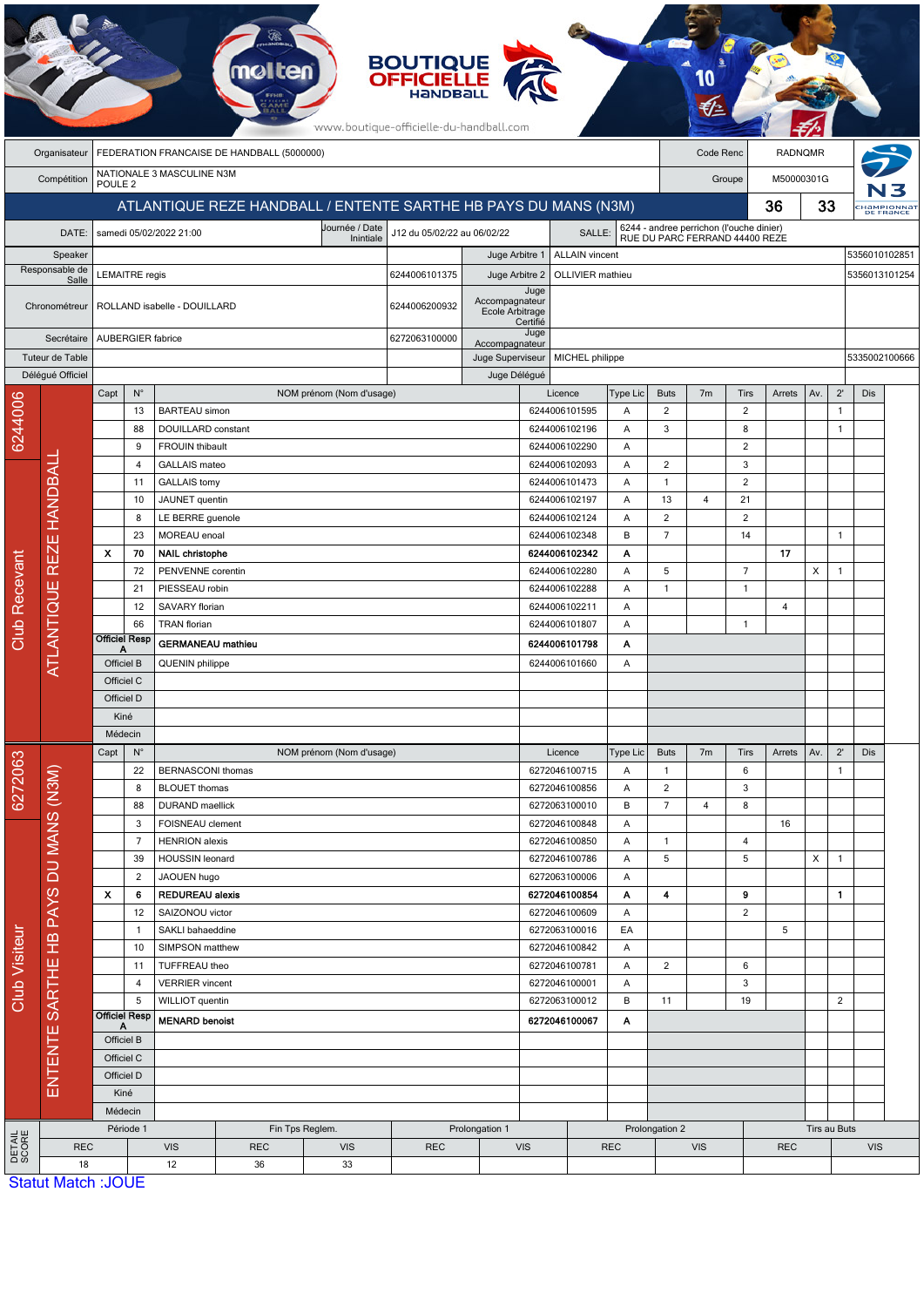|                 |                                      |                                                    |                                                 |                                                  |                                                                 |                          | <b>BOUTIQUE<br/>OFFICIELLE</b><br>www.boutique-officielle-du-handball.com |                                    |                                     |                                |                 |                                |                                                                            |                     |                |     |                |               |                                |
|-----------------|--------------------------------------|----------------------------------------------------|-------------------------------------------------|--------------------------------------------------|-----------------------------------------------------------------|--------------------------|---------------------------------------------------------------------------|------------------------------------|-------------------------------------|--------------------------------|-----------------|--------------------------------|----------------------------------------------------------------------------|---------------------|----------------|-----|----------------|---------------|--------------------------------|
|                 | Organisateur                         |                                                    |                                                 |                                                  | FEDERATION FRANCAISE DE HANDBALL (5000000)                      |                          |                                                                           |                                    |                                     |                                |                 |                                | Code Renc                                                                  |                     | <b>RADNQMR</b> |     |                |               |                                |
|                 | Compétition                          | POULE <sub>2</sub>                                 |                                                 | NATIONALE 3 MASCULINE N3M                        |                                                                 |                          |                                                                           |                                    |                                     |                                |                 |                                |                                                                            | Groupe              | M50000301G     |     |                |               |                                |
|                 |                                      |                                                    |                                                 |                                                  | ATLANTIQUE REZE HANDBALL / ENTENTE SARTHE HB PAYS DU MANS (N3M) |                          |                                                                           |                                    |                                     |                                |                 |                                |                                                                            |                     | 36             | 33  |                |               | <b>HAMPIONNAT</b><br>DE FRANCE |
|                 | DATE:                                |                                                    |                                                 | samedi 05/02/2022 21:00                          |                                                                 | Journée / Date           | J12 du 05/02/22 au 06/02/22                                               |                                    |                                     | <b>SALLE</b>                   |                 |                                | 6244 - andree perrichon (l'ouche dinier)<br>RUE DU PARC FERRAND 44400 REZE |                     |                |     |                |               |                                |
|                 | Speaker                              |                                                    |                                                 |                                                  |                                                                 | Inintiale                |                                                                           | Juge Arbitre 1                     |                                     | <b>ALLAIN</b> vincent          |                 |                                |                                                                            |                     |                |     |                | 5356010102851 |                                |
|                 | Responsable de                       |                                                    | <b>LEMAITRE</b> regis                           |                                                  |                                                                 |                          | 6244006101375                                                             | Juge Arbitre 2                     |                                     | OLLIVIER mathieu               |                 |                                |                                                                            |                     |                |     |                | 5356013101254 |                                |
|                 | Salle                                |                                                    |                                                 |                                                  |                                                                 |                          |                                                                           |                                    | Juge                                |                                |                 |                                |                                                                            |                     |                |     |                |               |                                |
|                 | Chronométreur                        |                                                    |                                                 | ROLLAND isabelle - DOUILLARD                     |                                                                 |                          | 6244006200932                                                             | Accompagnateur<br>Ecole Arbitrage  |                                     |                                |                 |                                |                                                                            |                     |                |     |                |               |                                |
|                 | Secrétaire                           |                                                    |                                                 | <b>AUBERGIER fabrice</b>                         |                                                                 |                          | 6272063100000                                                             |                                    | Certifié<br>Juge                    |                                |                 |                                |                                                                            |                     |                |     |                |               |                                |
|                 | Tuteur de Table                      |                                                    |                                                 |                                                  |                                                                 |                          |                                                                           | Accompagnateur<br>Juge Superviseur |                                     | MICHEL philippe                |                 |                                |                                                                            |                     |                |     |                | 5335002100666 |                                |
|                 | Délégué Officiel                     |                                                    |                                                 |                                                  |                                                                 |                          |                                                                           | Juge Délégué                       |                                     |                                |                 |                                |                                                                            |                     |                |     |                |               |                                |
|                 |                                      | Capt                                               | $N^{\circ}$                                     |                                                  |                                                                 | NOM prénom (Nom d'usage) |                                                                           |                                    |                                     | Licence                        | <b>Type Lic</b> | <b>Buts</b>                    | 7 <sub>m</sub>                                                             | Tirs                | Arrets         | Av. | $2^{\prime}$   | Dis           |                                |
|                 |                                      |                                                    | 13                                              | <b>BARTEAU</b> simon                             |                                                                 |                          |                                                                           |                                    |                                     | 6244006101595                  | Α               | $\overline{c}$                 |                                                                            | $\overline{2}$      |                |     | $\mathbf{1}$   |               |                                |
| 6244006         |                                      |                                                    | 88<br>9                                         | DOUILLARD constant<br><b>FROUIN thibault</b>     |                                                                 |                          |                                                                           |                                    |                                     | 6244006102196<br>6244006102290 | Α<br>Α          | 3                              |                                                                            | 8<br>$\overline{c}$ |                |     | $\mathbf{1}$   |               |                                |
|                 |                                      |                                                    | 4                                               | GALLAIS mateo                                    |                                                                 |                          |                                                                           |                                    |                                     | 6244006102093                  | Α               | $\overline{c}$                 |                                                                            | 3                   |                |     |                |               |                                |
|                 |                                      |                                                    | 11                                              | <b>GALLAIS</b> tomy                              |                                                                 |                          |                                                                           |                                    |                                     | 6244006101473                  | Α               | $\mathbf{1}$                   |                                                                            | $\overline{c}$      |                |     |                |               |                                |
|                 |                                      |                                                    | 10                                              | JAUNET quentin                                   |                                                                 |                          |                                                                           |                                    |                                     | 6244006102197                  | Α               | 13                             | 4                                                                          | 21                  |                |     |                |               |                                |
|                 |                                      |                                                    | 8                                               | LE BERRE guenole                                 |                                                                 |                          |                                                                           |                                    |                                     | 6244006102124                  | Α               | $\overline{2}$                 |                                                                            | $\overline{2}$      |                |     |                |               |                                |
|                 |                                      | $\boldsymbol{\mathsf{x}}$                          | 23<br>70                                        | MOREAU enoal<br><b>NAIL christophe</b>           |                                                                 |                          |                                                                           |                                    | B<br>6244006102348<br>6244006102342 |                                | А               | $\overline{7}$                 |                                                                            | 14                  | 17             |     | $\overline{1}$ |               |                                |
|                 |                                      |                                                    | 72                                              | PENVENNE corentin                                |                                                                 |                          |                                                                           |                                    |                                     | 6244006102280                  | Α               | 5                              |                                                                            | $\overline{7}$      |                | X   | $\overline{1}$ |               |                                |
|                 |                                      |                                                    | 21                                              | PIESSEAU robin                                   |                                                                 |                          |                                                                           |                                    |                                     | 6244006102288                  | Α               | $\mathbf{1}$                   |                                                                            | $\overline{1}$      |                |     |                |               |                                |
|                 |                                      |                                                    | 12                                              | SAVARY florian                                   |                                                                 |                          |                                                                           |                                    |                                     | 6244006102211                  | Α               |                                |                                                                            |                     | $\overline{4}$ |     |                |               |                                |
| Club Recevant   |                                      | <b>Officiel Resp</b>                               | 66                                              | <b>TRAN</b> florian                              |                                                                 |                          |                                                                           |                                    |                                     | 6244006101807                  | Α               |                                |                                                                            | $\mathbf{1}$        |                |     |                |               |                                |
|                 | ATLANTIQUE REZE HANDBALI             | А                                                  |                                                 |                                                  | <b>GERMANEAU</b> mathieu                                        |                          |                                                                           | 6244006101798                      | Α                                   |                                |                 |                                |                                                                            |                     |                |     |                |               |                                |
|                 |                                      | Officiel B<br><b>QUENIN</b> philippe<br>Officiel C |                                                 |                                                  |                                                                 |                          |                                                                           |                                    |                                     | 6244006101660                  | A               |                                |                                                                            |                     |                |     |                |               |                                |
|                 |                                      | Officiel D                                         |                                                 |                                                  |                                                                 |                          |                                                                           |                                    |                                     |                                |                 |                                |                                                                            |                     |                |     |                |               |                                |
|                 |                                      | Kiné                                               |                                                 |                                                  |                                                                 |                          |                                                                           |                                    |                                     |                                |                 |                                |                                                                            |                     |                |     |                |               |                                |
|                 |                                      | Médecin                                            |                                                 |                                                  |                                                                 |                          |                                                                           |                                    |                                     |                                |                 |                                |                                                                            |                     |                |     |                |               |                                |
|                 |                                      | Capt                                               | $\mathsf{N}^\circ$                              |                                                  |                                                                 | NOM prénom (Nom d'usage) |                                                                           |                                    |                                     | Licence                        | Type Lic        | <b>Buts</b>                    | 7 <sub>m</sub>                                                             | Tirs                | Arrets         | Av. | $2^{\prime}$   | Dis           |                                |
| 6272063         |                                      |                                                    | 22<br>8                                         | <b>BERNASCONI</b> thomas<br><b>BLOUET</b> thomas |                                                                 |                          |                                                                           |                                    |                                     | 6272046100715<br>6272046100856 | Α<br>Α          | $\mathbf{1}$<br>$\overline{2}$ |                                                                            | 6<br>3              |                |     | $\mathbf{1}$   |               |                                |
|                 |                                      |                                                    | 88                                              | DURAND maellick                                  |                                                                 |                          |                                                                           |                                    |                                     | 6272063100010                  | B               | $\overline{7}$                 | 4                                                                          | 8                   |                |     |                |               |                                |
|                 |                                      |                                                    | 3                                               | FOISNEAU clement                                 |                                                                 |                          |                                                                           |                                    |                                     | 6272046100848                  | Α               |                                |                                                                            |                     | 16             |     |                |               |                                |
|                 |                                      |                                                    | $\overline{7}$                                  | <b>HENRION</b> alexis                            |                                                                 |                          |                                                                           |                                    |                                     | 6272046100850                  | Α               | $\mathbf{1}$                   |                                                                            | $\overline{4}$      |                |     |                |               |                                |
|                 |                                      |                                                    | 39                                              | HOUSSIN leonard                                  |                                                                 |                          |                                                                           |                                    |                                     | 6272046100786                  | Α               | 5                              |                                                                            | 5                   |                | X   | $\overline{1}$ |               |                                |
|                 |                                      | X                                                  | 2<br>6                                          | JAOUEN hugo                                      |                                                                 |                          |                                                                           |                                    |                                     | 6272063100006<br>6272046100854 | A<br>Α          | 4                              |                                                                            | 9                   |                |     | 1              |               |                                |
|                 |                                      |                                                    | <b>REDUREAU alexis</b><br>12<br>SAIZONOU victor |                                                  |                                                                 |                          |                                                                           | 6272046100609                      |                                     | A                              |                 |                                | $\overline{2}$                                                             |                     |                |     |                |               |                                |
|                 |                                      |                                                    | $\mathbf{1}$                                    | SAKLI bahaeddine                                 |                                                                 |                          |                                                                           |                                    |                                     | 6272063100016                  | EA              |                                |                                                                            |                     | 5              |     |                |               |                                |
| Club Visiteur   |                                      |                                                    | 10                                              | SIMPSON matthew                                  |                                                                 |                          |                                                                           |                                    |                                     | 6272046100842                  | Α               |                                |                                                                            |                     |                |     |                |               |                                |
|                 |                                      |                                                    | 11                                              | TUFFREAU theo                                    |                                                                 |                          |                                                                           |                                    |                                     | 6272046100781                  | Α               | $\overline{c}$                 |                                                                            | 6                   |                |     |                |               |                                |
|                 |                                      |                                                    | $\overline{4}$<br>5                             | <b>VERRIER</b> vincent<br>WILLIOT quentin        |                                                                 |                          |                                                                           |                                    |                                     | 6272046100001<br>6272063100012 | Α<br>B          | 11                             |                                                                            | 3<br>19             |                |     | $\overline{2}$ |               |                                |
|                 |                                      | <b>Officiel Resp</b>                               |                                                 | <b>MENARD benoist</b>                            |                                                                 |                          |                                                                           |                                    |                                     | 6272046100067                  | Α               |                                |                                                                            |                     |                |     |                |               |                                |
|                 |                                      | A<br>Officiel B                                    |                                                 |                                                  |                                                                 |                          |                                                                           |                                    |                                     |                                |                 |                                |                                                                            |                     |                |     |                |               |                                |
|                 |                                      | Officiel C                                         |                                                 |                                                  |                                                                 |                          |                                                                           |                                    |                                     |                                |                 |                                |                                                                            |                     |                |     |                |               |                                |
|                 | ENTENTE SARTHE HB PAYS DU MANS (N3M) | Officiel D                                         |                                                 |                                                  |                                                                 |                          |                                                                           |                                    |                                     |                                |                 |                                |                                                                            |                     |                |     |                |               |                                |
|                 |                                      | Kiné                                               |                                                 |                                                  |                                                                 |                          |                                                                           |                                    |                                     |                                |                 |                                |                                                                            |                     |                |     |                |               |                                |
|                 |                                      | Médecin                                            | Période 1                                       |                                                  |                                                                 | Fin Tps Reglem.          |                                                                           | Prolongation 1                     |                                     |                                |                 | Prolongation 2                 |                                                                            |                     |                |     | Tirs au Buts   |               |                                |
| DETAIL<br>SCORE |                                      |                                                    |                                                 | <b>VIS</b>                                       | <b>REC</b>                                                      | <b>VIS</b>               | <b>REC</b>                                                                |                                    | <b>VIS</b>                          |                                | <b>REC</b>      |                                | <b>VIS</b>                                                                 |                     | <b>REC</b>     |     |                | <b>VIS</b>    |                                |
|                 | <b>REC</b>                           |                                                    |                                                 |                                                  |                                                                 |                          |                                                                           |                                    |                                     |                                |                 |                                |                                                                            |                     |                |     |                |               |                                |

**Statut Match: JOUL**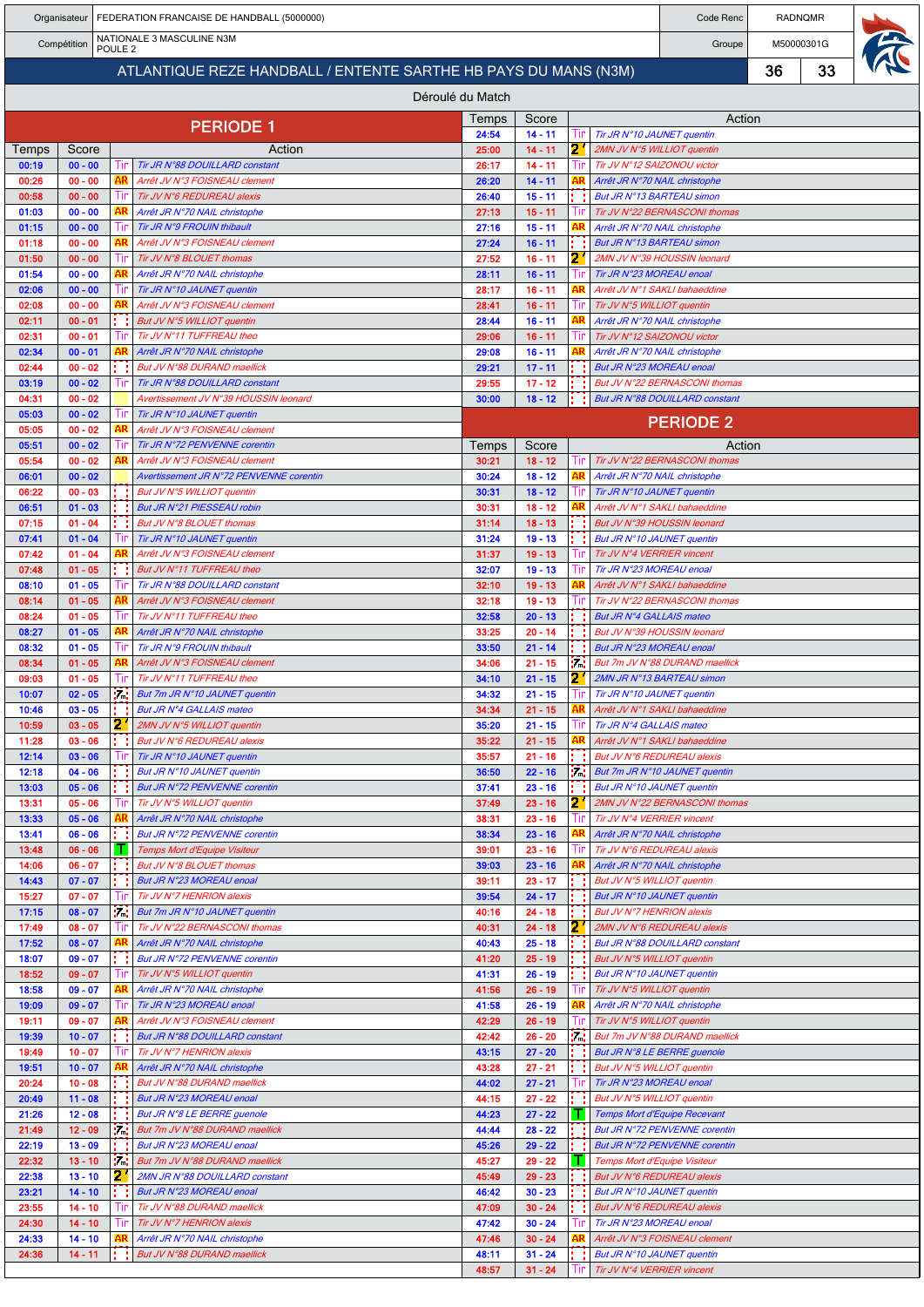|                                                                | Organisateur           |    |           | FEDERATION FRANCAISE DE HANDBALL (5000000)                              | Code Renc        | <b>RADNQMR</b>         |       |                                                                 |            |    |  |
|----------------------------------------------------------------|------------------------|----|-----------|-------------------------------------------------------------------------|------------------|------------------------|-------|-----------------------------------------------------------------|------------|----|--|
| NATIONALE 3 MASCULINE N3M<br>Compétition<br>POULE <sub>2</sub> |                        |    |           |                                                                         |                  |                        |       | Groupe                                                          | M50000301G |    |  |
|                                                                |                        |    |           | ATLANTIQUE REZE HANDBALL / ENTENTE SARTHE HB PAYS DU MANS (N3M)         |                  |                        |       |                                                                 | 36         | 33 |  |
|                                                                |                        |    |           |                                                                         | Déroulé du Match |                        |       |                                                                 |            |    |  |
|                                                                |                        |    |           |                                                                         | Temps            | Score                  |       | Action                                                          |            |    |  |
|                                                                |                        |    |           | <b>PERIODE 1</b>                                                        | 24:54            | $14 - 11$              |       | Tir JR N°10 JAUNET quentin                                      |            |    |  |
| Temps<br>00:19                                                 | Score<br>$00 - 00$     |    |           | Action<br>Tir JR N°88 DOUILLARD constant                                | 25:00<br>26:17   | $14 - 11$<br>$14 - 11$ | 2     | 2MN JV N°5 WILLIOT quentin<br>Tir JV N°12 SAIZONOU victor       |            |    |  |
| 00:26                                                          | $00 - 00$              |    | ۹R        | Arrêt JV N°3 FOISNEAU clement                                           | 26:20            | $14 - 11$              |       | Arrêt JR N°70 NAIL christophe                                   |            |    |  |
| 00:58<br>01:03                                                 | $00 - 00$<br>$00 - 00$ |    |           | Tir JV N°6 REDUREAU alexis<br>Arrêt JR N°70 NAIL christophe             | 26:40<br>27:13   | $15 - 11$<br>$15 - 11$ |       | But JR N°13 BARTEAU simon<br>Tir JV N°22 BERNASCONI thomas      |            |    |  |
| 01:15                                                          | $00 - 00$              |    |           | Tir JR N°9 FROUIN thibault                                              | 27:16            | $15 - 11$              |       | Arrêt JR N°70 NAIL christophe                                   |            |    |  |
| 01:18                                                          | $00 - 00$              |    |           | Arrêt JV N°3 FOISNEAU clement                                           | 27:24            | $16 - 11$              |       | <b>But JR N°13 BARTEAU simon</b>                                |            |    |  |
| 01:50<br>01:54                                                 | $00 - 00$<br>$00 - 00$ |    |           | Tir JV N°8 BLOUET thomas<br>Arrêt JR N°70 NAIL christophe               | 27:52<br>28:11   | $16 - 11$<br>$16 - 11$ | 2     | 2MN JV N°39 HOUSSIN leonard<br>Tir JR N°23 MOREAU enoal         |            |    |  |
| 02:06                                                          | $00 - 00$              |    |           | Tir JR N°10 JAUNET quentin                                              | 28:17            | $16 - 11$              |       | Arrêt JV N°1 SAKLI bahaeddine                                   |            |    |  |
| 02:08                                                          | $00 - 00$              |    |           | Arrêt JV N°3 FOISNEAU clement                                           | 28:41            | $16 - 11$              |       | Tir JV N°5 WILLIOT quentin                                      |            |    |  |
| 02:11<br>02:31                                                 | $00 - 01$<br>$00 - 01$ |    |           | But JV N°5 WILLIOT quentin<br>Tir JV N°11 TUFFREAU theo                 | 28:44<br>29:06   | $16 - 11$<br>$16 - 11$ |       | Arrêt JR N°70 NAIL christophe<br>Tir JV N°12 SAIZONOU victor    |            |    |  |
| 02:34                                                          | $00 - 01$              |    |           | Arrêt JR N°70 NAIL christophe                                           | 29:08            | $16 - 11$              |       | Arrêt JR N°70 NAIL christophe                                   |            |    |  |
| 02:44                                                          | $00 - 02$              |    |           | But JV N°88 DURAND maellick                                             | 29:21            | $17 - 11$              |       | But JR N°23 MOREAU enoal                                        |            |    |  |
| 03:19<br>04:31                                                 | $00 - 02$<br>$00 - 02$ |    |           | Tir JR N°88 DOUILLARD constant<br>Avertissement JV N°39 HOUSSIN leonard | 29:55<br>30:00   | $17 - 12$<br>$18 - 12$ |       | But JV N°22 BERNASCONI thomas<br>But JR N°88 DOUILLARD constant |            |    |  |
| 05:03                                                          | $00 - 02$              |    |           | Tir JR N°10 JAUNET quentin                                              |                  |                        |       | <b>PERIODE 2</b>                                                |            |    |  |
| 05:05<br>05:51                                                 | $00 - 02$<br>$00 - 02$ |    | ۹R        | Arrêt JV N°3 FOISNEAU clement<br>Tir JR N°72 PENVENNE corentin          |                  | Score                  |       |                                                                 |            |    |  |
| 05:54                                                          | $00 - 02$              |    |           | Arrêt JV N°3 FOISNEAU clement                                           | Temps<br>30:21   | $18 - 12$              |       | Action<br>Tir JV N°22 BERNASCONI thomas                         |            |    |  |
| 06:01                                                          | $00 - 02$              |    |           | Avertissement JR N°72 PENVENNE corentin                                 | 30:24            | $18 - 12$              |       | Arrêt JR N°70 NAIL christophe                                   |            |    |  |
| 06:22<br>06:51                                                 | $00 - 03$<br>$01 - 03$ |    |           | But JV N°5 WILLIOT quentin<br>But JR N°21 PIESSEAU robin                | 30:31<br>30:31   | $18 - 12$<br>$18 - 12$ |       | Tir JR N°10 JAUNET quentin<br>Arrêt JV N°1 SAKLI bahaeddine     |            |    |  |
| 07:15                                                          | $01 - 04$              |    |           | But JV N°8 BLOUET thomas                                                | 31:14            | $18 - 13$              |       | But JV N°39 HOUSSIN leonard                                     |            |    |  |
| 07:41                                                          | $01 - 04$              |    |           | Tir JR N°10 JAUNET quentin                                              | 31:24            | $19 - 13$              |       | But JR N°10 JAUNET quentin                                      |            |    |  |
| 07:42                                                          | $01 - 04$              |    |           | Arrêt JV N°3 FOISNEAU clement                                           | 31:37            | $19 - 13$              |       | Tir JV N°4 VERRIER vincent                                      |            |    |  |
| 07:48<br>08:10                                                 | $01 - 05$<br>$01 - 05$ |    |           | But JV N°11 TUFFREAU theo<br>Tir JR N°88 DOUILLARD constant             | 32:07<br>32:10   | $19 - 13$<br>$19 - 13$ |       | Tir JR N°23 MOREAU enoal<br>Arrêt JV N°1 SAKLI bahaeddine       |            |    |  |
| 08:14                                                          | $01 - 05$              |    |           | Arrêt JV N°3 FOISNEAU clement                                           | 32:18            | $19 - 13$              |       | Tir JV N°22 BERNASCONI thomas                                   |            |    |  |
| 08:24                                                          | $01 - 05$              |    |           | Tir JV N°11 TUFFREAU theo                                               | 32:58            | $20 - 13$              |       | <b>But JR N°4 GALLAIS mateo</b>                                 |            |    |  |
| 08:27<br>08:32                                                 | $01 - 05$<br>$01 - 05$ |    |           | Arrêt JR N°70 NAIL christophe<br>Tir JR N°9 FROUIN thibault             | 33:25<br>33:50   | $20 - 14$<br>$21 - 14$ |       | But JV N°39 HOUSSIN leonard<br>But JR N°23 MOREAU enoal         |            |    |  |
| 08:34                                                          | $01 - 05$              |    |           | Arrêt JV N°3 FOISNEAU clement                                           | 34:06            | $21 - 15$              | ÷.    | But 7m JV N°88 DURAND maellick                                  |            |    |  |
| 09:03                                                          | $01 - 05$              |    |           | Tir JV N°11 TUFFREAU theo                                               | 34:10            | $21 - 15$              | 2     | 2MN JR N°13 BARTEAU simon                                       |            |    |  |
| 10:07<br>10:46                                                 | $02 - 05$<br>$03 - 05$ |    | Уđ        | But 7m JR N°10 JAUNET quentin<br>But JR N°4 GALLAIS mateo               | 34:32<br>34:34   | $21 - 15$<br>$21 - 15$ |       | Tir JR N°10 JAUNET quentin<br>Arrêt JV N°1 SAKLI bahaeddine     |            |    |  |
| 10:59                                                          | $03 - 05$              | 2. |           | 2MN JV N°5 WILLIOT quentin                                              | 35:20            | $21 - 15$              |       | Tir JR N°4 GALLAIS mateo                                        |            |    |  |
| 11:28                                                          | $03 - 06$              |    |           | But JV N°6 REDUREAU alexis                                              | 35:22            | $21 - 15$              |       | Arrêt JV N°1 SAKLI bahaeddine                                   |            |    |  |
| 12:14<br>12:18                                                 | $03 - 06$<br>$04 - 06$ |    |           | Tir JR N°10 JAUNET quentin<br>But JR N°10 JAUNET quentin                | 35:57<br>36:50   | $21 - 16$<br>$22 - 16$ | 57.62 | But JV N°6 REDUREAU alexis<br>But 7m JR N°10 JAUNET quentin     |            |    |  |
| 13:03                                                          | $05 - 06$              |    |           | <b>But JR N°72 PENVENNE corentin</b>                                    | 37:41            | $23 - 16$              |       | But JR N°10 JAUNET quentin                                      |            |    |  |
| 13:31                                                          | $05 - 06$              |    |           | Tir JV N°5 WILLIOT quentin                                              | 37:49            | $23 - 16$              | 2.    | 2MN JV N°22 BERNASCONI thomas                                   |            |    |  |
| 13:33                                                          | $05 - 06$              |    |           | Arrêt JR N°70 NAIL christophe<br><b>But JR N°72 PENVENNE corentin</b>   | 38:31            | $23 - 16$              |       | Tir JV N°4 VERRIER vincent                                      |            |    |  |
| 13:41<br>13:48                                                 | $06 - 06$<br>$06 - 06$ |    | H.        | Temps Mort d'Equipe Visiteur                                            | 38:34<br>39:01   | $23 - 16$<br>$23 - 16$ |       | Arrêt JR N°70 NAIL christophe<br>Tir JV N°6 REDUREAU alexis     |            |    |  |
| 14:06                                                          | $06 - 07$              |    |           | But JV N°8 BLOUET thomas                                                | 39:03            | $23 - 16$              |       | Arrêt JR N°70 NAIL christophe                                   |            |    |  |
| 14:43                                                          | $07 - 07$              |    |           | But JR N°23 MOREAU enoal                                                | 39:11            | $23 - 17$              |       | But JV N°5 WILLIOT quentin                                      |            |    |  |
| 15:27<br>17:15                                                 | $07 - 07$<br>$08 - 07$ |    | :7.       | Tir JV N°7 HENRION alexis<br>But 7m JR N°10 JAUNET quentin              | 39:54<br>40:16   | $24 - 17$<br>$24 - 18$ |       | But JR N°10 JAUNET quentin<br>But JV N°7 HENRION alexis         |            |    |  |
| 17:49                                                          | $08 - 07$              |    |           | Tir JV N°22 BERNASCONI thomas                                           | 40:31            | $24 - 18$              | 2     | 2MN JV N°6 REDUREAU alexis                                      |            |    |  |
| 17:52                                                          | $08 - 07$              |    |           | Arrêt JR N°70 NAIL christophe                                           | 40:43            | $25 - 18$              |       | But JR N°88 DOUILLARD constant                                  |            |    |  |
| 18:07<br>18:52                                                 | $09 - 07$<br>$09 - 07$ |    |           | But JR N°72 PENVENNE corentin<br>Tir JV N°5 WILLIOT quentin             | 41:20<br>41:31   | $25 - 19$<br>$26 - 19$ |       | But JV N°5 WILLIOT quentin<br>But JR N°10 JAUNET quentin        |            |    |  |
| 18:58                                                          | $09 - 07$              |    |           | Arrêt JR N°70 NAIL christophe                                           | 41:56            | $26 - 19$              |       | Tir JV N°5 WILLIOT quentin                                      |            |    |  |
| 19:09                                                          | $09 - 07$              |    |           | Tir JR N°23 MOREAU enoal                                                | 41:58            | $26 - 19$              |       | Arrêt JR N°70 NAIL christophe                                   |            |    |  |
| 19:11<br>19:39                                                 | $09 - 07$<br>$10 - 07$ |    | AR        | Arrêt JV N°3 FOISNEAU clement<br>But JR N°88 DOUILLARD constant         | 42:29<br>42:42   | $26 - 19$<br>$26 - 20$ | 1745  | Tir JV N°5 WILLIOT quentin<br>But 7m JV N°88 DURAND maellick    |            |    |  |
| 19:49                                                          | $10 - 07$              |    |           | Tir JV N°7 HENRION alexis                                               | 43:15            | $27 - 20$              |       | But JR N°8 LE BERRE guenole                                     |            |    |  |
| 19:51                                                          | $10 - 07$              |    |           | Arrêt JR N°70 NAIL christophe                                           | 43:28            | $27 - 21$              |       | But JV N°5 WILLIOT quentin                                      |            |    |  |
| 20:24<br>20:49                                                 | $10 - 08$<br>$11 - 08$ |    |           | But JV N°88 DURAND maellick<br>But JR N°23 MOREAU enoal                 | 44:02<br>44:15   | $27 - 21$<br>$27 - 22$ |       | Tir JR N°23 MOREAU enoal<br>But JV N°5 WILLIOT quentin          |            |    |  |
| 21:26                                                          | $12 - 08$              |    |           | But JR N°8 LE BERRE guenole                                             | 44:23            | $27 - 22$              |       | Temps Mort d'Equipe Recevant                                    |            |    |  |
| 21:49                                                          | $12 - 09$              |    | <b>MA</b> | But 7m JV N°88 DURAND maellick                                          | 44:44            | $28 - 22$              |       | But JR N°72 PENVENNE corentin                                   |            |    |  |
| 22:19<br>22:32                                                 | $13 - 09$<br>$13 - 10$ |    | 54        | But JR N°23 MOREAU enoal<br>But 7m JV N°88 DURAND maellick              | 45:26<br>45:27   | $29 - 22$<br>$29 - 22$ |       | But JR N°72 PENVENNE corentin<br>Temps Mort d'Equipe Visiteur   |            |    |  |
| 22:38                                                          | $13 - 10$              |    | 2.        | 2MN JR N°88 DOUILLARD constant                                          | 45:49            | $29 - 23$              |       | <b>But JV N°6 REDUREAU alexis</b>                               |            |    |  |
| 23:21                                                          | $14 - 10$              |    |           | But JR N°23 MOREAU enoal                                                | 46:42            | $30 - 23$              |       | But JR N°10 JAUNET quentin                                      |            |    |  |
| 23:55<br>24:30                                                 | $14 - 10$<br>$14 - 10$ |    |           | Tir JV N°88 DURAND maellick<br>Tir JV N°7 HENRION alexis                | 47:09<br>47:42   | $30 - 24$<br>$30 - 24$ |       | But JV N°6 REDUREAU alexis<br>Tir JR N°23 MOREAU enoal          |            |    |  |
| 24:33                                                          | $14 - 10$              |    |           | Arrêt JR N°70 NAIL christophe                                           | 47:46            | $30 - 24$              |       | Arrêt JV N°3 FOISNEAU clement                                   |            |    |  |
| 24:36                                                          | $14 - 11$              |    |           | But JV N°88 DURAND maellick                                             | 48:11            | $31 - 24$              |       | But JR N°10 JAUNET quentin                                      |            |    |  |
|                                                                |                        |    |           |                                                                         | 48:57            | $31 - 24$              |       | Tir JV N°4 VERRIER vincent                                      |            |    |  |